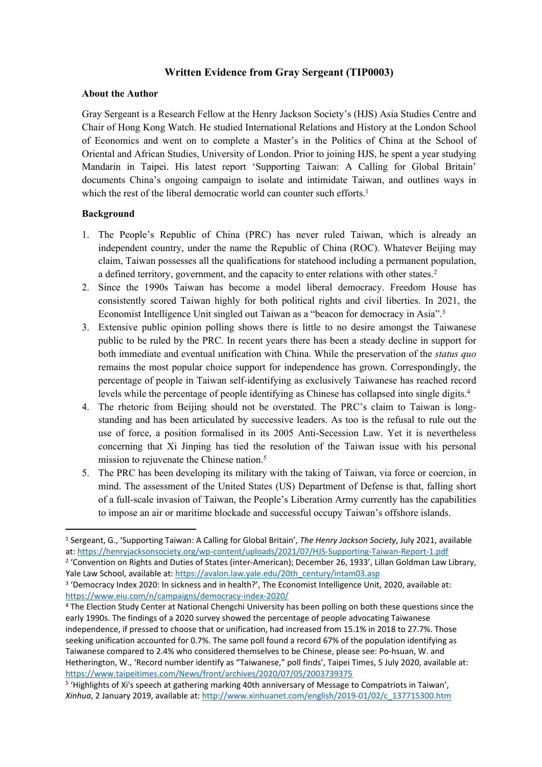# **Written Evidence from Gray Sergeant (TIP0003)**

#### **About the Author**

Gray Sergeant is a Research Fellow at the Henry Jackson Society's (HJS) Asia Studies Centre and Chair of Hong Kong Watch. He studied International Relations and History at the London School of Economics and went on to complete a Master's in the Politics of China at the School of Oriental and African Studies, University of London. Prior to joining HJS, he spent a year studying Mandarin in Taipei. His latest report 'Supporting Taiwan: A Calling for Global Britain' documents China's ongoing campaign to isolate and intimidate Taiwan, and outlines ways in which the rest of the liberal democratic world can counter such efforts.<sup>1</sup>

## **Background**

- 1. The People's Republic of China (PRC) has never ruled Taiwan, which is already an independent country, under the name the Republic of China (ROC). Whatever Beijing may claim, Taiwan possesses all the qualifications for statehood including a permanent population, a defined territory, government, and the capacity to enter relations with other states.<sup>2</sup>
- 2. Since the 1990s Taiwan has become a model liberal democracy. Freedom House has consistently scored Taiwan highly for both political rights and civil liberties. In 2021, the Economist Intelligence Unit singled out Taiwan as a "beacon for democracy in Asia".<sup>3</sup>
- 3. Extensive public opinion polling shows there is little to no desire amongst the Taiwanese public to be ruled by the PRC. In recent years there has been a steady decline in support for both immediate and eventual unification with China. While the preservation of the *status quo* remains the most popular choice support for independence has grown. Correspondingly, the percentage of people in Taiwan self-identifying as exclusively Taiwanese has reached record levels while the percentage of people identifying as Chinese has collapsed into single digits.<sup>4</sup>
- 4. The rhetoric from Beijing should not be overstated. The PRC's claim to Taiwan is longstanding and has been articulated by successive leaders. As too is the refusal to rule out the use of force, a position formalised in its 2005 Anti-Secession Law. Yet it is nevertheless concerning that Xi Jinping has tied the resolution of the Taiwan issue with his personal mission to rejuvenate the Chinese nation.<sup>5</sup>
- 5. The PRC has been developing its military with the taking of Taiwan, via force or coercion, in mind. The assessment of the United States (US) Department of Defense is that, falling short of a full-scale invasion of Taiwan, the People's Liberation Army currently has the capabilities to impose an air or maritime blockade and successful occupy Taiwan's offshore islands.

<sup>1</sup> Sergeant, G., 'Supporting Taiwan: A Calling for Global Britain', *The Henry Jackson Society*, July 2021, available at: <https://henryjacksonsociety.org/wp-content/uploads/2021/07/HJS-Supporting-Taiwan-Report-1.pdf>

<sup>2</sup> 'Convention on Rights and Duties of States (inter-American); December 26, 1933', Lillan Goldman Law Library, Yale Law School, available at: [https://avalon.law.yale.edu/20th\\_century/intam03.asp](https://avalon.law.yale.edu/20th_century/intam03.asp)

<sup>&</sup>lt;sup>3</sup> 'Democracy Index 2020: In sickness and in health?', The Economist Intelligence Unit, 2020, available at: <https://www.eiu.com/n/campaigns/democracy-index-2020/>

<sup>4</sup> The Election Study Center at National Chengchi University has been polling on both these questions since the early 1990s. The findings of a 2020 survey showed the percentage of people advocating Taiwanese independence, if pressed to choose that or unification, had increased from 15.1% in 2018 to 27.7%. Those seeking unification accounted for 0.7%. The same poll found a record 67% of the population identifying as Taiwanese compared to 2.4% who considered themselves to be Chinese, please see: Po-hsuan, W. and Hetherington, W., 'Record number identify as "Taiwanese," poll finds', Taipei Times, 5 July 2020, available at: <https://www.taipeitimes.com/News/front/archives/2020/07/05/2003739375>

<sup>&</sup>lt;sup>5</sup> 'Highlights of Xi's speech at gathering marking 40th anniversary of Message to Compatriots in Taiwan', *Xinhua*, 2 January 2019, available at: [http://www.xinhuanet.com/english/2019-01/02/c\\_137715300.htm](http://www.xinhuanet.com/english/2019-01/02/c_137715300.htm)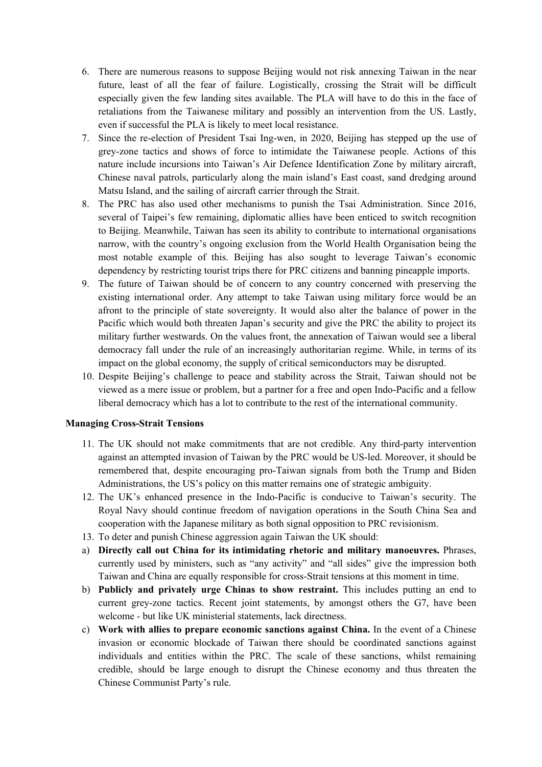- 6. There are numerous reasons to suppose Beijing would not risk annexing Taiwan in the near future, least of all the fear of failure. Logistically, crossing the Strait will be difficult especially given the few landing sites available. The PLA will have to do this in the face of retaliations from the Taiwanese military and possibly an intervention from the US. Lastly, even if successful the PLA is likely to meet local resistance.
- 7. Since the re-election of President Tsai Ing-wen, in 2020, Beijing has stepped up the use of grey-zone tactics and shows of force to intimidate the Taiwanese people. Actions of this nature include incursions into Taiwan's Air Defence Identification Zone by military aircraft, Chinese naval patrols, particularly along the main island's East coast, sand dredging around Matsu Island, and the sailing of aircraft carrier through the Strait.
- 8. The PRC has also used other mechanisms to punish the Tsai Administration. Since 2016, several of Taipei's few remaining, diplomatic allies have been enticed to switch recognition to Beijing. Meanwhile, Taiwan has seen its ability to contribute to international organisations narrow, with the country's ongoing exclusion from the World Health Organisation being the most notable example of this. Beijing has also sought to leverage Taiwan's economic dependency by restricting tourist trips there for PRC citizens and banning pineapple imports.
- 9. The future of Taiwan should be of concern to any country concerned with preserving the existing international order. Any attempt to take Taiwan using military force would be an afront to the principle of state sovereignty. It would also alter the balance of power in the Pacific which would both threaten Japan's security and give the PRC the ability to project its military further westwards. On the values front, the annexation of Taiwan would see a liberal democracy fall under the rule of an increasingly authoritarian regime. While, in terms of its impact on the global economy, the supply of critical semiconductors may be disrupted.
- 10. Despite Beijing's challenge to peace and stability across the Strait, Taiwan should not be viewed as a mere issue or problem, but a partner for a free and open Indo-Pacific and a fellow liberal democracy which has a lot to contribute to the rest of the international community.

#### **Managing Cross-Strait Tensions**

- 11. The UK should not make commitments that are not credible. Any third-party intervention against an attempted invasion of Taiwan by the PRC would be US-led. Moreover, it should be remembered that, despite encouraging pro-Taiwan signals from both the Trump and Biden Administrations, the US's policy on this matter remains one of strategic ambiguity.
- 12. The UK's enhanced presence in the Indo-Pacific is conducive to Taiwan's security. The Royal Navy should continue freedom of navigation operations in the South China Sea and cooperation with the Japanese military as both signal opposition to PRC revisionism.
- 13. To deter and punish Chinese aggression again Taiwan the UK should:
- a) **Directly call out China for its intimidating rhetoric and military manoeuvres.** Phrases, currently used by ministers, such as "any activity" and "all sides" give the impression both Taiwan and China are equally responsible for cross-Strait tensions at this moment in time.
- b) **Publicly and privately urge Chinas to show restraint.** This includes putting an end to current grey-zone tactics. Recent joint statements, by amongst others the G7, have been welcome - but like UK ministerial statements, lack directness.
- c) **Work with allies to prepare economic sanctions against China.** In the event of a Chinese invasion or economic blockade of Taiwan there should be coordinated sanctions against individuals and entities within the PRC. The scale of these sanctions, whilst remaining credible, should be large enough to disrupt the Chinese economy and thus threaten the Chinese Communist Party's rule.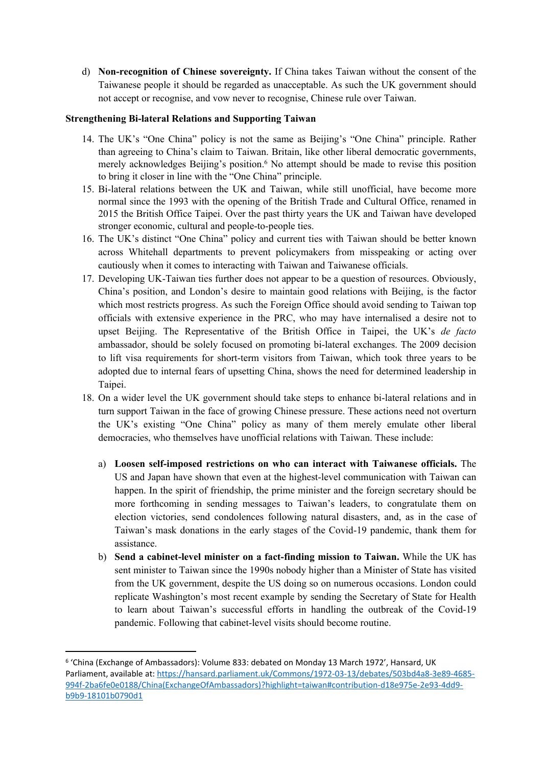d) **Non-recognition of Chinese sovereignty.** If China takes Taiwan without the consent of the Taiwanese people it should be regarded as unacceptable. As such the UK government should not accept or recognise, and vow never to recognise, Chinese rule over Taiwan.

## **Strengthening Bi-lateral Relations and Supporting Taiwan**

- 14. The UK's "One China" policy is not the same as Beijing's "One China" principle. Rather than agreeing to China's claim to Taiwan. Britain, like other liberal democratic governments, merely acknowledges Beijing's position.<sup>6</sup> No attempt should be made to revise this position to bring it closer in line with the "One China" principle.
- 15. Bi-lateral relations between the UK and Taiwan, while still unofficial, have become more normal since the 1993 with the opening of the British Trade and Cultural Office, renamed in 2015 the British Office Taipei. Over the past thirty years the UK and Taiwan have developed stronger economic, cultural and people-to-people ties.
- 16. The UK's distinct "One China" policy and current ties with Taiwan should be better known across Whitehall departments to prevent policymakers from misspeaking or acting over cautiously when it comes to interacting with Taiwan and Taiwanese officials.
- 17. Developing UK-Taiwan ties further does not appear to be a question of resources. Obviously, China's position, and London's desire to maintain good relations with Beijing, is the factor which most restricts progress. As such the Foreign Office should avoid sending to Taiwan top officials with extensive experience in the PRC, who may have internalised a desire not to upset Beijing. The Representative of the British Office in Taipei, the UK's *de facto* ambassador, should be solely focused on promoting bi-lateral exchanges. The 2009 decision to lift visa requirements for short-term visitors from Taiwan, which took three years to be adopted due to internal fears of upsetting China, shows the need for determined leadership in Taipei.
- 18. On a wider level the UK government should take steps to enhance bi-lateral relations and in turn support Taiwan in the face of growing Chinese pressure. These actions need not overturn the UK's existing "One China" policy as many of them merely emulate other liberal democracies, who themselves have unofficial relations with Taiwan. These include:
	- a) **Loosen self-imposed restrictions on who can interact with Taiwanese officials.** The US and Japan have shown that even at the highest-level communication with Taiwan can happen. In the spirit of friendship, the prime minister and the foreign secretary should be more forthcoming in sending messages to Taiwan's leaders, to congratulate them on election victories, send condolences following natural disasters, and, as in the case of Taiwan's mask donations in the early stages of the Covid-19 pandemic, thank them for assistance.
	- b) **Send a cabinet-level minister on a fact-finding mission to Taiwan.** While the UK has sent minister to Taiwan since the 1990s nobody higher than a Minister of State has visited from the UK government, despite the US doing so on numerous occasions. London could replicate Washington's most recent example by sending the Secretary of State for Health to learn about Taiwan's successful efforts in handling the outbreak of the Covid-19 pandemic. Following that cabinet-level visits should become routine.

<sup>6</sup> 'China (Exchange of Ambassadors): Volume 833: debated on Monday 13 March 1972', Hansard, UK Parliament, available at: [https://hansard.parliament.uk/Commons/1972-03-13/debates/503bd4a8-3e89-4685-](https://hansard.parliament.uk/Commons/1972-03-13/debates/503bd4a8-3e89-4685-994f-2ba6fe0e0188/China(ExchangeOfAmbassadors)?highlight=taiwan#contribution-d18e975e-2e93-4dd9-b9b9-18101b0790d1) [994f-2ba6fe0e0188/China\(ExchangeOfAmbassadors\)?highlight=taiwan#contribution-d18e975e-2e93-4dd9](https://hansard.parliament.uk/Commons/1972-03-13/debates/503bd4a8-3e89-4685-994f-2ba6fe0e0188/China(ExchangeOfAmbassadors)?highlight=taiwan#contribution-d18e975e-2e93-4dd9-b9b9-18101b0790d1) [b9b9-18101b0790d1](https://hansard.parliament.uk/Commons/1972-03-13/debates/503bd4a8-3e89-4685-994f-2ba6fe0e0188/China(ExchangeOfAmbassadors)?highlight=taiwan#contribution-d18e975e-2e93-4dd9-b9b9-18101b0790d1)